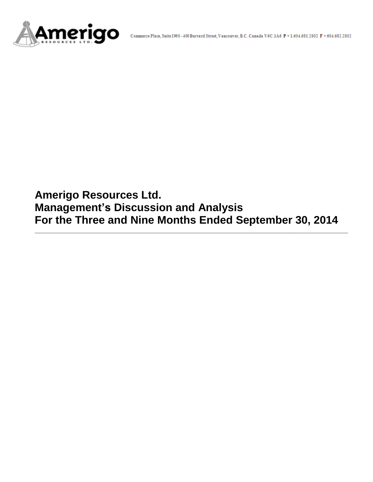

**Amerigo Resources Ltd. Management's Discussion and Analysis For the Three and Nine Months Ended September 30, 2014**

**\_\_\_\_\_\_\_\_\_\_\_\_\_\_\_\_\_\_\_\_\_\_\_\_\_\_\_\_\_\_\_\_\_\_\_\_\_\_\_\_\_\_\_\_\_\_\_\_\_\_\_\_\_\_\_\_\_\_\_\_\_\_\_\_\_\_\_\_\_\_\_\_\_\_\_\_\_\_\_\_\_\_\_\_**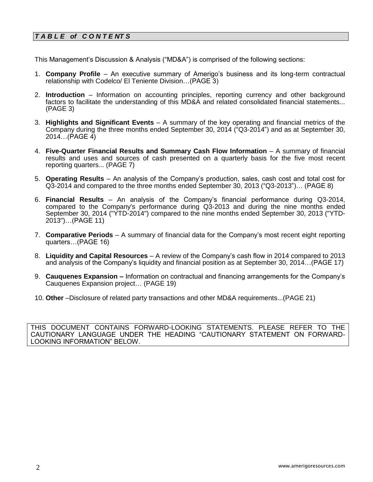# *T A B L E of C O N T E NT S*

This Management's Discussion & Analysis ("MD&A") is comprised of the following sections:

- 1. **Company Profile**  An executive summary of Amerigo's business and its long-term contractual relationship with Codelco/ El Teniente Division…(PAGE 3)
- 2. **Introduction**  Information on accounting principles, reporting currency and other background factors to facilitate the understanding of this MD&A and related consolidated financial statements... (PAGE 3)
- 3. **Highlights and Significant Events** A summary of the key operating and financial metrics of the Company during the three months ended September 30, 2014 ("Q3-2014") and as at September 30, 2014…(PAGE 4)
- 4. **Five-Quarter Financial Results and Summary Cash Flow Information** A summary of financial results and uses and sources of cash presented on a quarterly basis for the five most recent reporting quarters... (PAGE 7)
- 5. **Operating Results** An analysis of the Company's production, sales, cash cost and total cost for Q3-2014 and compared to the three months ended September 30, 2013 ("Q3-2013")… (PAGE 8)
- 6. **Financial Results** An analysis of the Company's financial performance during Q3-2014, compared to the Company's performance during Q3-2013 and during the nine months ended September 30, 2014 ("YTD-2014") compared to the nine months ended September 30, 2013 ("YTD-2013")…(PAGE 11)
- 7. **Comparative Periods** A summary of financial data for the Company's most recent eight reporting quarters…(PAGE 16)
- 8. **Liquidity and Capital Resources** A review of the Company's cash flow in 2014 compared to 2013 and analysis of the Company's liquidity and financial position as at September 30, 2014…(PAGE 17)
- 9. **Cauquenes Expansion –** Information on contractual and financing arrangements for the Company's Cauquenes Expansion project… (PAGE 19)
- 10. **Other** –Disclosure of related party transactions and other MD&A requirements...(PAGE 21)

THIS DOCUMENT CONTAINS FORWARD-LOOKING STATEMENTS. PLEASE REFER TO THE CAUTIONARY LANGUAGE UNDER THE HEADING "CAUTIONARY STATEMENT ON FORWARD-LOOKING INFORMATION" BELOW.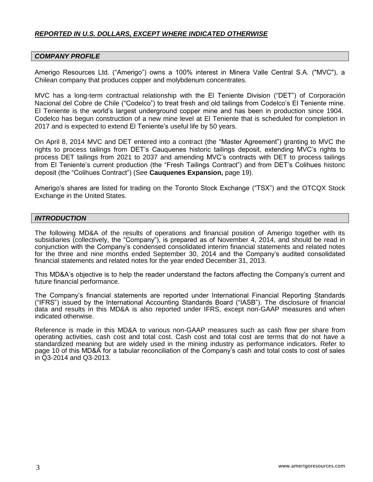# *REPORTED IN U.S. DOLLARS, EXCEPT WHERE INDICATED OTHERWISE*

### *COMPANY PROFILE*

Amerigo Resources Ltd. ("Amerigo") owns a 100% interest in Minera Valle Central S.A. ("MVC"), a Chilean company that produces copper and molybdenum concentrates.

MVC has a long-term contractual relationship with the El Teniente Division ("DET") of Corporación Nacional del Cobre de Chile ("Codelco") to treat fresh and old tailings from Codelco's El Teniente mine. El Teniente is the world's largest underground copper mine and has been in production since 1904. Codelco has begun construction of a new mine level at El Teniente that is scheduled for completion in 2017 and is expected to extend El Teniente's useful life by 50 years.

On April 8, 2014 MVC and DET entered into a contract (the "Master Agreement") granting to MVC the rights to process tailings from DET's Cauquenes historic tailings deposit, extending MVC's rights to process DET tailings from 2021 to 2037 and amending MVC's contracts with DET to process tailings from El Teniente's current production (the "Fresh Tailings Contract") and from DET's Colihues historic deposit (the "Colihues Contract") (See **Cauquenes Expansion,** page 19).

Amerigo's shares are listed for trading on the Toronto Stock Exchange ("TSX") and the OTCQX Stock Exchange in the United States.

### *INTRODUCTION*

The following MD&A of the results of operations and financial position of Amerigo together with its subsidiaries (collectively, the "Company"), is prepared as of November 4, 2014, and should be read in conjunction with the Company's condensed consolidated interim financial statements and related notes for the three and nine months ended September 30, 2014 and the Company's audited consolidated financial statements and related notes for the year ended December 31, 2013.

This MD&A's objective is to help the reader understand the factors affecting the Company's current and future financial performance.

The Company's financial statements are reported under International Financial Reporting Standards ("IFRS") issued by the International Accounting Standards Board ("IASB"). The disclosure of financial data and results in this MD&A is also reported under IFRS, except non-GAAP measures and when indicated otherwise.

Reference is made in this MD&A to various non-GAAP measures such as cash flow per share from operating activities, cash cost and total cost. Cash cost and total cost are terms that do not have a standardized meaning but are widely used in the mining industry as performance indicators. Refer to page 10 of this MD&A for a tabular reconciliation of the Company's cash and total costs to cost of sales in Q3-2014 and Q3-2013.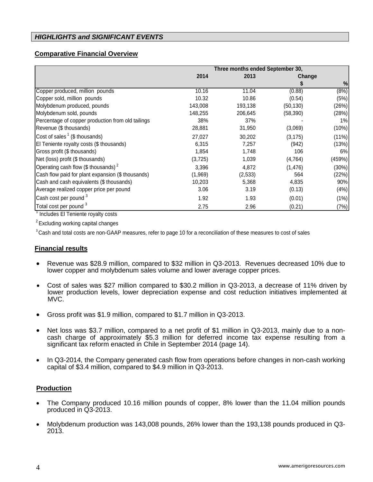# *HIGHLIGHTS and SIGNIFICANT EVENTS*

# **Comparative Financial Overview**

|                                                   | Three months ended September 30, |         |           |        |
|---------------------------------------------------|----------------------------------|---------|-----------|--------|
|                                                   | 2014                             | 2013    | Change    |        |
|                                                   |                                  |         | ъ         | %      |
| Copper produced, million pounds                   | 10.16                            | 11.04   | (0.88)    | (8%)   |
| Copper sold, million pounds                       | 10.32                            | 10.86   | (0.54)    | (5%)   |
| Molybdenum produced, pounds                       | 143,008                          | 193,138 | (50, 130) | (26%)  |
| Molybdenum sold, pounds                           | 148,255                          | 206,645 | (58, 390) | (28%)  |
| Percentage of copper production from old tailings | 38%                              | 37%     |           | 1%     |
| Revenue (\$ thousands)                            | 28,881                           | 31,950  | (3,069)   | (10%)  |
| Cost of sales $1$ (\$ thousands)                  | 27,027                           | 30,202  | (3, 175)  | (11%)  |
| El Teniente royalty costs (\$ thousands)          | 6,315                            | 7,257   | (942)     | (13%)  |
| Gross profit (\$ thousands)                       | 1,854                            | 1,748   | 106       | 6%     |
| Net (loss) profit (\$ thousands)                  | (3, 725)                         | 1,039   | (4, 764)  | (459%) |
| Operating cash flow (\$ thousands) $2^2$          | 3,396                            | 4,872   | (1, 476)  | (30%)  |
| Cash flow paid for plant expansion (\$ thousands) | (1,969)                          | (2,533) | 564       | (22%)  |
| Cash and cash equivalents (\$ thousands)          | 10,203                           | 5,368   | 4,835     | 90%    |
| Average realized copper price per pound           | 3.06                             | 3.19    | (0.13)    | (4%)   |
| Cash cost per pound 3                             | 1.92                             | 1.93    | (0.01)    | (1%)   |
| Total cost per pound 3                            | 2.75                             | 2.96    | (0.21)    | (7%)   |

<sup>1</sup> Includes El Teniente royalty costs

<sup>2</sup> Excluding working capital changes

<sup>3</sup> Cash and total costs are non-GAAP measures, refer to page 10 for a reconciliation of these measures to cost of sales

# **Financial results**

- Revenue was \$28.9 million, compared to \$32 million in Q3-2013. Revenues decreased 10% due to lower copper and molybdenum sales volume and lower average copper prices.
- Cost of sales was \$27 million compared to \$30.2 million in Q3-2013, a decrease of 11% driven by lower production levels, lower depreciation expense and cost reduction initiatives implemented at MVC.
- Gross profit was \$1.9 million, compared to \$1.7 million in Q3-2013.
- Net loss was \$3.7 million, compared to a net profit of \$1 million in Q3-2013, mainly due to a noncash charge of approximately \$5.3 million for deferred income tax expense resulting from a significant tax reform enacted in Chile in September 2014 (page 14).
- In Q3-2014, the Company generated cash flow from operations before changes in non-cash working capital of \$3.4 million, compared to \$4.9 million in Q3-2013.

# **Production**

- The Company produced 10.16 million pounds of copper, 8% lower than the 11.04 million pounds produced in Q3-2013.
- Molybdenum production was 143,008 pounds, 26% lower than the 193,138 pounds produced in Q3- 2013.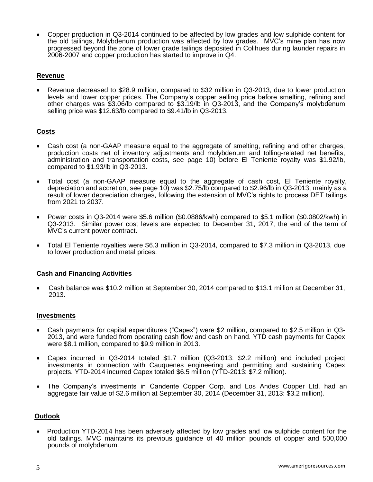Copper production in Q3-2014 continued to be affected by low grades and low sulphide content for the old tailings, Molybdenum production was affected by low grades. MVC's mine plan has now progressed beyond the zone of lower grade tailings deposited in Colihues during launder repairs in 2006-2007 and copper production has started to improve in Q4.

## **Revenue**

 Revenue decreased to \$28.9 million, compared to \$32 million in Q3-2013, due to lower production levels and lower copper prices. The Company's copper selling price before smelting, refining and other charges was \$3.06/lb compared to \$3.19/lb in Q3-2013, and the Company's molybdenum selling price was \$12.63/lb compared to \$9.41/lb in Q3-2013.

## **Costs**

- Cash cost (a non-GAAP measure equal to the aggregate of smelting, refining and other charges, production costs net of inventory adjustments and molybdenum and tolling-related net benefits, administration and transportation costs, see page 10) before El Teniente royalty was \$1.92/lb, compared to \$1.93/lb in Q3-2013.
- Total cost (a non-GAAP measure equal to the aggregate of cash cost, El Teniente royalty, depreciation and accretion, see page 10) was \$2.75/lb compared to \$2.96/lb in Q3-2013, mainly as a result of lower depreciation charges, following the extension of MVC's rights to process DET tailings from 2021 to 2037.
- Power costs in Q3-2014 were \$5.6 million (\$0.0886/kwh) compared to \$5.1 million (\$0.0802/kwh) in Q3-2013. Similar power cost levels are expected to December 31, 2017, the end of the term of MVC's current power contract.
- Total El Teniente royalties were \$6.3 million in Q3-2014, compared to \$7.3 million in Q3-2013, due to lower production and metal prices.

### **Cash and Financing Activities**

 Cash balance was \$10.2 million at September 30, 2014 compared to \$13.1 million at December 31, 2013.

### **Investments**

- Cash payments for capital expenditures ("Capex") were \$2 million, compared to \$2.5 million in Q3- 2013, and were funded from operating cash flow and cash on hand. YTD cash payments for Capex were \$8.1 million, compared to \$9.9 million in 2013.
- Capex incurred in Q3-2014 totaled \$1.7 million (Q3-2013: \$2.2 million) and included project investments in connection with Cauquenes engineering and permitting and sustaining Capex projects. YTD-2014 incurred Capex totaled \$6.5 million (YTD-2013: \$7.2 million).
- The Company's investments in Candente Copper Corp. and Los Andes Copper Ltd. had an aggregate fair value of \$2.6 million at September 30, 2014 (December 31, 2013: \$3.2 million).

# **Outlook**

• Production YTD-2014 has been adversely affected by low grades and low sulphide content for the old tailings. MVC maintains its previous guidance of 40 million pounds of copper and 500,000 pounds of molybdenum.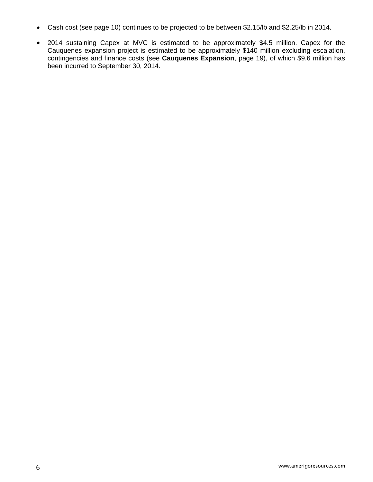- Cash cost (see page 10) continues to be projected to be between \$2.15/lb and \$2.25/lb in 2014.
- 2014 sustaining Capex at MVC is estimated to be approximately \$4.5 million. Capex for the Cauquenes expansion project is estimated to be approximately \$140 million excluding escalation, contingencies and finance costs (see **Cauquenes Expansion**, page 19), of which \$9.6 million has been incurred to September 30, 2014.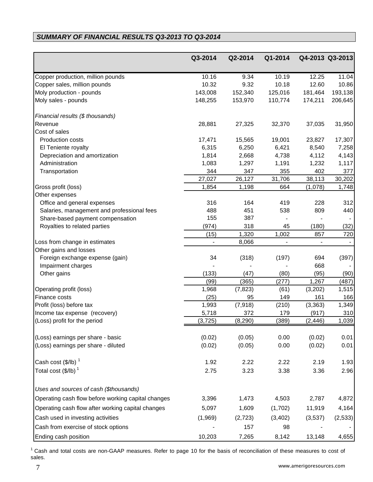# *SUMMARY OF FINANCIAL RESULTS Q3-2013 TO Q3-2014*

|                                                         | Q3-2014    | Q2-2014        | Q1-2014  |                       | Q4-2013 Q3-2013 |
|---------------------------------------------------------|------------|----------------|----------|-----------------------|-----------------|
|                                                         |            |                |          |                       |                 |
| Copper production, million pounds                       | 10.16      | 9.34           | 10.19    | 12.25                 | 11.04           |
| Copper sales, million pounds                            | 10.32      | 9.32           | 10.18    | 12.60                 | 10.86           |
| Moly production - pounds                                | 143,008    | 152,340        | 125,016  | 181,464               | 193,138         |
| Moly sales - pounds                                     | 148,255    | 153,970        | 110,774  | 174,211               | 206,645         |
| Financial results (\$ thousands)                        |            |                |          |                       |                 |
| Revenue                                                 | 28,881     | 27,325         | 32,370   | 37,035                | 31,950          |
| Cost of sales                                           |            |                |          |                       |                 |
| Production costs                                        | 17,471     | 15,565         | 19,001   | 23,827                | 17,307          |
| El Teniente royalty                                     | 6,315      | 6,250          | 6,421    | 8,540                 | 7,258           |
| Depreciation and amortization                           | 1,814      | 2,668          | 4,738    | 4,112                 | 4,143           |
| Administration                                          | 1,083      | 1,297          | 1,191    | 1,232                 | 1,117           |
| Transportation                                          | 344        | 347            | 355      | 402                   | 377             |
|                                                         | 27,027     | 26,127         | 31,706   | 38,113                | 30,202          |
| Gross profit (loss)                                     | 1,854      | 1,198          | 664      | (1,078)               | 1,748           |
| Other expenses                                          |            |                |          |                       |                 |
| Office and general expenses                             | 316        | 164            | 419      | 228                   | 312             |
| Salaries, management and professional fees              | 488<br>155 | 451<br>387     | 538      | 809                   | 440             |
| Share-based payment compensation                        |            |                |          |                       |                 |
| Royalties to related parties                            | (974)      | 318            | 45       | (180)                 | (32)            |
|                                                         | (15)       | 1,320<br>8,066 | 1,002    | 857<br>$\overline{a}$ | 720             |
| Loss from change in estimates<br>Other gains and losses |            |                |          |                       |                 |
| Foreign exchange expense (gain)                         | 34         | (318)          | (197)    | 694                   | (397)           |
| Impairment charges                                      |            |                |          | 668                   |                 |
| Other gains                                             | (133)      | (47)           | (80)     | (95)                  | (90)            |
|                                                         | (99)       | (365)          | (277)    | 1,267                 | (487)           |
| Operating profit (loss)                                 | 1,968      | (7, 823)       | (61)     | (3,202)               | 1,515           |
| Finance costs                                           | (25)       | 95             | 149      | 161                   | 166             |
| Profit (loss) before tax                                | 1,993      | (7, 918)       | (210)    | (3, 363)              | 1,349           |
| Income tax expense (recovery)                           | 5,718      | 372            | 179      | (917)                 | 310             |
| (Loss) profit for the period                            | (3, 725)   | (8, 290)       | (389)    | (2, 446)              | 1,039           |
| (Loss) earnings per share - basic                       | (0.02)     | (0.05)         | 0.00     | (0.02)                | 0.01            |
| (Loss) earnings per share - diluted                     | (0.02)     | (0.05)         | 0.00     | (0.02)                | 0.01            |
|                                                         |            |                |          |                       |                 |
| Cash cost $(\frac{5}{lb})^1$                            | 1.92       | 2.22           | 2.22     | 2.19                  | 1.93            |
| Total cost $(\frac{5}{lb})^1$                           | 2.75       | 3.23           | 3.38     | 3.36                  | 2.96            |
| Uses and sources of cash (\$thousands)                  |            |                |          |                       |                 |
| Operating cash flow before working capital changes      | 3,396      | 1,473          | 4,503    | 2,787                 | 4,872           |
| Operating cash flow after working capital changes       | 5,097      | 1,609          | (1,702)  | 11,919                | 4,164           |
| Cash used in investing activities                       | (1,969)    | (2,723)        | (3, 402) | (3,537)               | (2, 533)        |
| Cash from exercise of stock options                     |            | 157            | 98       |                       |                 |
| Ending cash position                                    | 10,203     | 7,265          | 8,142    | 13,148                | 4,655           |

 $1$  Cash and total costs are non-GAAP measures. Refer to page 10 for the basis of reconciliation of these measures to cost of sales.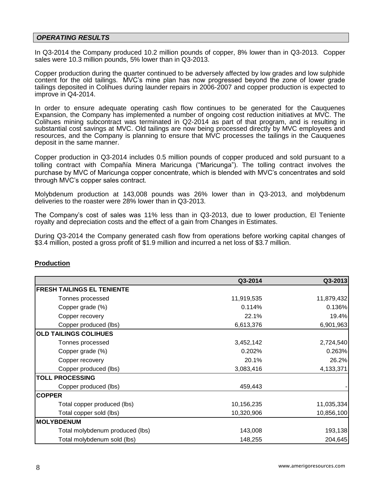### *OPERATING RESULTS*

In Q3-2014 the Company produced 10.2 million pounds of copper, 8% lower than in Q3-2013. Copper sales were 10.3 million pounds, 5% lower than in Q3-2013.

Copper production during the quarter continued to be adversely affected by low grades and low sulphide content for the old tailings. MVC's mine plan has now progressed beyond the zone of lower grade tailings deposited in Colihues during launder repairs in 2006-2007 and copper production is expected to improve in Q4-2014.

In order to ensure adequate operating cash flow continues to be generated for the Cauquenes Expansion, the Company has implemented a number of ongoing cost reduction initiatives at MVC. The Colihues mining subcontract was terminated in Q2-2014 as part of that program, and is resulting in substantial cost savings at MVC. Old tailings are now being processed directly by MVC employees and resources, and the Company is planning to ensure that MVC processes the tailings in the Cauquenes deposit in the same manner.

Copper production in Q3-2014 includes 0.5 million pounds of copper produced and sold pursuant to a tolling contract with Compañía Minera Maricunga ("Maricunga"). The tolling contract involves the purchase by MVC of Maricunga copper concentrate, which is blended with MVC's concentrates and sold through MVC's copper sales contract.

Molybdenum production at 143,008 pounds was 26% lower than in Q3-2013, and molybdenum deliveries to the roaster were 28% lower than in Q3-2013.

The Company's cost of sales was 11% less than in Q3-2013, due to lower production, El Teniente royalty and depreciation costs and the effect of a gain from Changes in Estimates.

During Q3-2014 the Company generated cash flow from operations before working capital changes of \$3.4 million, posted a gross profit of \$1.9 million and incurred a net loss of \$3.7 million.

|                                   | Q3-2014    | Q3-2013    |
|-----------------------------------|------------|------------|
| <b>FRESH TAILINGS EL TENIENTE</b> |            |            |
| Tonnes processed                  | 11,919,535 | 11,879,432 |
| Copper grade (%)                  | 0.114%     | 0.136%     |
| Copper recovery                   | 22.1%      | 19.4%      |
| Copper produced (lbs)             | 6,613,376  | 6,901,963  |
| <b>OLD TAILINGS COLIHUES</b>      |            |            |
| Tonnes processed                  | 3,452,142  | 2,724,540  |
| Copper grade (%)                  | 0.202%     | 0.263%     |
| Copper recovery                   | 20.1%      | 26.2%      |
| Copper produced (lbs)             | 3,083,416  | 4,133,371  |
| <b>TOLL PROCESSING</b>            |            |            |
| Copper produced (lbs)             | 459,443    |            |
| <b>COPPER</b>                     |            |            |
| Total copper produced (lbs)       | 10,156,235 | 11,035,334 |
| Total copper sold (lbs)           | 10,320,906 | 10,856,100 |
| <b>MOLYBDENUM</b>                 |            |            |
| Total molybdenum produced (lbs)   | 143,008    | 193,138    |
| Total molybdenum sold (lbs)       | 148,255    | 204,645    |

# **Production**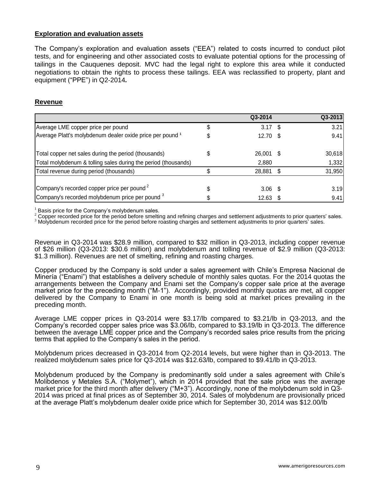## **Exploration and evaluation assets**

The Company's exploration and evaluation assets ("EEA") related to costs incurred to conduct pilot tests, and for engineering and other associated costs to evaluate potential options for the processing of tailings in the Cauquenes deposit. MVC had the legal right to explore this area while it conducted negotiations to obtain the rights to process these tailings. EEA was reclassified to property, plant and equipment ("PPE") in Q2-2014*.*

# **Revenue**

|                                                                      | Q3-2014    | Q3-2013 |
|----------------------------------------------------------------------|------------|---------|
| Average LME copper price per pound                                   | $3.17$ \$  | 3.21    |
| Average Platt's molybdenum dealer oxide price per pound <sup>1</sup> | $12.70$ \$ | 9.41    |
| Total copper net sales during the period (thousands)                 | 26,001 \$  | 30,618  |
| Total molybdenum & tolling sales during the period (thousands)       | 2,880      | 1,332   |
| Total revenue during period (thousands)                              | 28,881     | 31,950  |
| Company's recorded copper price per pound <sup>2</sup>               | $3.06$ \$  | 3.19    |
| Company's recorded molybdenum price per pound 3                      | 12.63      | 9.41    |

 $<sup>1</sup>$  Basis price for the Company's molybdenum sales.</sup>

 $2$  Copper recorded price for the period before smelting and refining charges and settlement adjustments to prior quarters' sales.

 $3$  Molybdenum recorded price for the period before roasting charges and settlement adjustments to prior quarters' sales.

Revenue in Q3-2014 was \$28.9 million, compared to \$32 million in Q3-2013, including copper revenue of \$26 million (Q3-2013: \$30.6 million) and molybdenum and tolling revenue of \$2.9 million (Q3-2013: \$1.3 million). Revenues are net of smelting, refining and roasting charges.

Copper produced by the Company is sold under a sales agreement with Chile's Empresa Nacional de Minería ("Enami") that establishes a delivery schedule of monthly sales quotas. For the 2014 quotas the arrangements between the Company and Enami set the Company's copper sale price at the average market price for the preceding month ("M-1"). Accordingly, provided monthly quotas are met, all copper delivered by the Company to Enami in one month is being sold at market prices prevailing in the preceding month.

Average LME copper prices in Q3-2014 were \$3.17/lb compared to \$3.21/lb in Q3-2013, and the Company's recorded copper sales price was \$3.06/lb, compared to \$3.19/lb in Q3-2013. The difference between the average LME copper price and the Company's recorded sales price results from the pricing terms that applied to the Company's sales in the period.

Molybdenum prices decreased in Q3-2014 from Q2-2014 levels, but were higher than in Q3-2013. The realized molybdenum sales price for Q3-2014 was \$12.63/lb, compared to \$9.41/lb in Q3-2013.

Molybdenum produced by the Company is predominantly sold under a sales agreement with Chile's Molibdenos y Metales S.A. ("Molymet"), which in 2014 provided that the sale price was the average market price for the third month after delivery ("M+3"). Accordingly, none of the molybdenum sold in Q3- 2014 was priced at final prices as of September 30, 2014. Sales of molybdenum are provisionally priced at the average Platt's molybdenum dealer oxide price which for September 30, 2014 was \$12.00/lb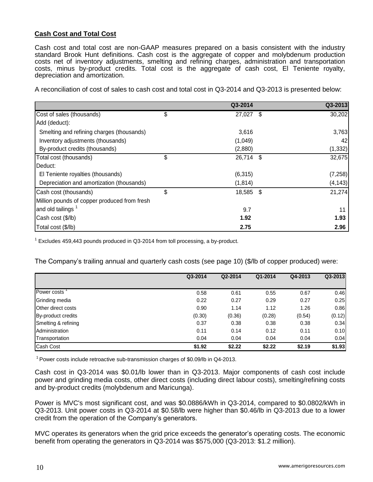# **Cash Cost and Total Cost**

Cash cost and total cost are non-GAAP measures prepared on a basis consistent with the industry standard Brook Hunt definitions. Cash cost is the aggregate of copper and molybdenum production costs net of inventory adjustments, smelting and refining charges, administration and transportation costs, minus by-product credits. Total cost is the aggregate of cash cost, El Teniente royalty, depreciation and amortization.

A reconciliation of cost of sales to cash cost and total cost in Q3-2014 and Q3-2013 is presented below:

|                                              | Q3-2014         |      | Q3-2013  |
|----------------------------------------------|-----------------|------|----------|
| Cost of sales (thousands)                    | \$<br>27,027    | - \$ | 30,202   |
| Add (deduct):                                |                 |      |          |
| Smelting and refining charges (thousands)    | 3,616           |      | 3,763    |
| Inventory adjustments (thousands)            | (1,049)         |      | 42       |
| By-product credits (thousands)               | (2,880)         |      | (1, 332) |
| Total cost (thousands)                       | \$<br>26,714 \$ |      | 32,675   |
| Deduct:                                      |                 |      |          |
| El Teniente royalties (thousands)            | (6, 315)        |      | (7, 258) |
| Depreciation and amortization (thousands)    | (1, 814)        |      | (4, 143) |
| Cash cost (thousands)                        | \$<br>18,585 \$ |      | 21,274   |
| Million pounds of copper produced from fresh |                 |      |          |
| and old tailings <sup>1</sup>                | 9.7             |      | 11       |
| Cash cost (\$/lb)                            | 1.92            |      | 1.93     |
| Total cost (\$/lb)                           | 2.75            |      | 2.96     |

 $1$  Excludes 459,443 pounds produced in Q3-2014 from toll processing, a by-product.

The Company's trailing annual and quarterly cash costs (see page 10) (\$/lb of copper produced) were:

|                           | Q3-2014 | Q2-2014 | Q1-2014 | Q4-2013 | Q3-2013 |
|---------------------------|---------|---------|---------|---------|---------|
|                           |         |         |         |         |         |
| Power costs               | 0.58    | 0.61    | 0.55    | 0.67    | 0.46    |
| Grinding media            | 0.22    | 0.27    | 0.29    | 0.27    | 0.25    |
| <b>Other direct costs</b> | 0.90    | 1.14    | 1.12    | 1.26    | 0.86    |
| By-product credits        | (0.30)  | (0.36)  | (0.28)  | (0.54)  | (0.12)  |
| Smelting & refining       | 0.37    | 0.38    | 0.38    | 0.38    | 0.34    |
| Administration            | 0.11    | 0.14    | 0.12    | 0.11    | 0.10    |
| Transportation            | 0.04    | 0.04    | 0.04    | 0.04    | 0.04    |
| Cash Cost                 | \$1.92  | \$2.22  | \$2.22  | \$2.19  | \$1.93  |

 $1$  Power costs include retroactive sub-transmission charges of \$0.09/lb in Q4-2013.

Cash cost in Q3-2014 was \$0.01/lb lower than in Q3-2013. Major components of cash cost include power and grinding media costs, other direct costs (including direct labour costs), smelting/refining costs and by-product credits (molybdenum and Maricunga).

Power is MVC's most significant cost, and was \$0.0886/kWh in Q3-2014, compared to \$0.0802/kWh in Q3-2013. Unit power costs in Q3-2014 at \$0.58/lb were higher than \$0.46/lb in Q3-2013 due to a lower credit from the operation of the Company's generators.

MVC operates its generators when the grid price exceeds the generator's operating costs. The economic benefit from operating the generators in Q3-2014 was \$575,000 (Q3-2013: \$1.2 million).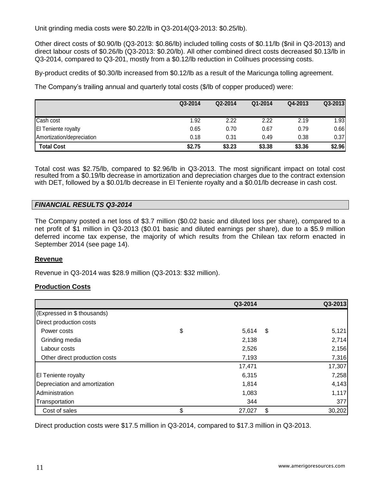Unit grinding media costs were \$0.22/lb in Q3-2014(Q3-2013: \$0.25/lb).

Other direct costs of \$0.90/lb (Q3-2013: \$0.86/lb) included tolling costs of \$0.11/lb (\$nil in Q3-2013) and direct labour costs of \$0.26/lb (Q3-2013: \$0.20/lb). All other combined direct costs decreased \$0.13/lb in Q3-2014, compared to Q3-201, mostly from a \$0.12/lb reduction in Colihues processing costs.

By-product credits of \$0.30/lb increased from \$0.12/lb as a result of the Maricunga tolling agreement.

The Company's trailing annual and quarterly total costs (\$/lb of copper produced) were:

|                            | Q3-2014 | Q2-2014 | Q1-2014 | Q4-2013 | Q3-2013 |
|----------------------------|---------|---------|---------|---------|---------|
| Cash cost                  | 1.92    | 2.22    | 2.22    | 2.19    | 1.93    |
| <b>El Teniente royalty</b> | 0.65    | 0.70    | 0.67    | 0.79    | 0.66    |
| Amortization/depreciation  | 0.18    | 0.31    | 0.49    | 0.38    | 0.37    |
| <b>Total Cost</b>          | \$2.75  | \$3.23  | \$3.38  | \$3.36  | \$2.96  |

Total cost was \$2.75/lb, compared to \$2.96/lb in Q3-2013. The most significant impact on total cost resulted from a \$0.19/lb decrease in amortization and depreciation charges due to the contract extension with DET, followed by a \$0.01/lb decrease in El Teniente royalty and a \$0.01/lb decrease in cash cost.

## *FINANCIAL RESULTS Q3-2014*

The Company posted a net loss of \$3.7 million (\$0.02 basic and diluted loss per share), compared to a net profit of \$1 million in Q3-2013 (\$0.01 basic and diluted earnings per share), due to a \$5.9 million deferred income tax expense, the majority of which results from the Chilean tax reform enacted in September 2014 (see page 14).

### **Revenue**

Revenue in Q3-2014 was \$28.9 million (Q3-2013: \$32 million).

# **Production Costs**

|                               | Q3-2014            | Q3-2013 |
|-------------------------------|--------------------|---------|
| (Expressed in \$ thousands)   |                    |         |
| Direct production costs       |                    |         |
| Power costs                   | \$<br>5,614<br>S   | 5,121   |
| Grinding media                | 2,138              | 2,714   |
| Labour costs                  | 2,526              | 2,156   |
| Other direct production costs | 7,193              | 7,316   |
|                               | 17,471             | 17,307  |
| <b>El Teniente royalty</b>    | 6,315              | 7,258   |
| Depreciation and amortization | 1,814              | 4,143   |
| Administration                | 1,083              | 1,117   |
| Transportation                | 344                | 377     |
| Cost of sales                 | \$<br>\$<br>27,027 | 30,202  |

Direct production costs were \$17.5 million in Q3-2014, compared to \$17.3 million in Q3-2013.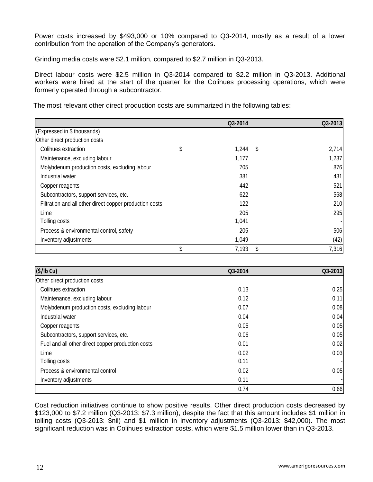Power costs increased by \$493,000 or 10% compared to Q3-2014, mostly as a result of a lower contribution from the operation of the Company's generators.

Grinding media costs were \$2.1 million, compared to \$2.7 million in Q3-2013.

Direct labour costs were \$2.5 million in Q3-2014 compared to \$2.2 million in Q3-2013. Additional workers were hired at the start of the quarter for the Colihues processing operations, which were formerly operated through a subcontractor.

The most relevant other direct production costs are summarized in the following tables:

|                                                         | Q3-2014     |      | Q3-2013 |
|---------------------------------------------------------|-------------|------|---------|
| (Expressed in \$ thousands)                             |             |      |         |
| Other direct production costs                           |             |      |         |
| Colihues extraction                                     | \$<br>1,244 | - \$ | 2,714   |
| Maintenance, excluding labour                           | 1,177       |      | 1,237   |
| Molybdenum production costs, excluding labour           | 705         |      | 876     |
| Industrial water                                        | 381         |      | 431     |
| Copper reagents                                         | 442         |      | 521     |
| Subcontractors, support services, etc.                  | 622         |      | 568     |
| Filtration and all other direct copper production costs | 122         |      | 210     |
| Lime                                                    | 205         |      | 295     |
| Tolling costs                                           | 1,041       |      |         |
| Process & environmental control, safety                 | 205         |      | 506     |
| Inventory adjustments                                   | 1,049       |      | (42)    |
|                                                         | \$<br>7,193 | \$   | 7,316   |

| (S/lb Cu)                                         | Q3-2014 | Q3-2013 |
|---------------------------------------------------|---------|---------|
| Other direct production costs                     |         |         |
| Colihues extraction                               | 0.13    | 0.25    |
| Maintenance, excluding labour                     | 0.12    | 0.11    |
| Molybdenum production costs, excluding labour     | 0.07    | 0.08    |
| Industrial water                                  | 0.04    | 0.04    |
| Copper reagents                                   | 0.05    | 0.05    |
| Subcontractors, support services, etc.            | 0.06    | 0.05    |
| Fuel and all other direct copper production costs | 0.01    | 0.02    |
| Lime                                              | 0.02    | 0.03    |
| Tolling costs                                     | 0.11    |         |
| Process & environmental control                   | 0.02    | 0.05    |
| Inventory adjustments                             | 0.11    |         |
|                                                   | 0.74    | 0.66    |

Cost reduction initiatives continue to show positive results. Other direct production costs decreased by \$123,000 to \$7.2 million (Q3-2013: \$7.3 million), despite the fact that this amount includes \$1 million in tolling costs (Q3-2013: \$nil) and \$1 million in inventory adjustments (Q3-2013: \$42,000). The most significant reduction was in Colihues extraction costs, which were \$1.5 million lower than in Q3-2013.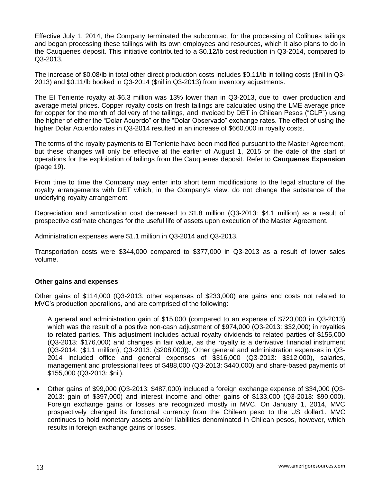Effective July 1, 2014, the Company terminated the subcontract for the processing of Colihues tailings and began processing these tailings with its own employees and resources, which it also plans to do in the Cauquenes deposit. This initiative contributed to a \$0.12/lb cost reduction in Q3-2014, compared to Q3-2013.

The increase of \$0.08/lb in total other direct production costs includes \$0.11/lb in tolling costs (\$nil in Q3- 2013) and \$0.11/lb booked in Q3-2014 (\$nil in Q3-2013) from inventory adjustments.

The El Teniente royalty at \$6.3 million was 13% lower than in Q3-2013, due to lower production and average metal prices. Copper royalty costs on fresh tailings are calculated using the LME average price for copper for the month of delivery of the tailings, and invoiced by DET in Chilean Pesos ("CLP") using the higher of either the "Dolar Acuerdo" or the "Dolar Observado" exchange rates. The effect of using the higher Dolar Acuerdo rates in Q3-2014 resulted in an increase of \$660,000 in royalty costs.

The terms of the royalty payments to El Teniente have been modified pursuant to the Master Agreement, but these changes will only be effective at the earlier of August 1, 2015 or the date of the start of operations for the exploitation of tailings from the Cauquenes deposit. Refer to **Cauquenes Expansion** (page 19).

From time to time the Company may enter into short term modifications to the legal structure of the royalty arrangements with DET which, in the Company's view, do not change the substance of the underlying royalty arrangement.

Depreciation and amortization cost decreased to \$1.8 million (Q3-2013: \$4.1 million) as a result of prospective estimate changes for the useful life of assets upon execution of the Master Agreement.

Administration expenses were \$1.1 million in Q3-2014 and Q3-2013.

Transportation costs were \$344,000 compared to \$377,000 in Q3-2013 as a result of lower sales volume.

### **Other gains and expenses**

Other gains of \$114,000 (Q3-2013: other expenses of \$233,000) are gains and costs not related to MVC's production operations, and are comprised of the following:

A general and administration gain of \$15,000 (compared to an expense of \$720,000 in Q3-2013) which was the result of a positive non-cash adjustment of \$974,000 (Q3-2013: \$32,000) in royalties to related parties. This adjustment includes actual royalty dividends to related parties of \$155,000 (Q3-2013: \$176,000) and changes in fair value, as the royalty is a derivative financial instrument (Q3-2014: (\$1.1 million); Q3-2013: (\$208,000)). Other general and administration expenses in Q3- 2014 included office and general expenses of \$316,000 (Q3-2013: \$312,000), salaries, management and professional fees of \$488,000 (Q3-2013: \$440,000) and share-based payments of \$155,000 (Q3-2013: \$nil).

 Other gains of \$99,000 (Q3-2013: \$487,000) included a foreign exchange expense of \$34,000 (Q3- 2013: gain of \$397,000) and interest income and other gains of \$133,000 (Q3-2013: \$90,000). Foreign exchange gains or losses are recognized mostly in MVC. On January 1, 2014, MVC prospectively changed its functional currency from the Chilean peso to the US dollar1. MVC continues to hold monetary assets and/or liabilities denominated in Chilean pesos, however, which results in foreign exchange gains or losses.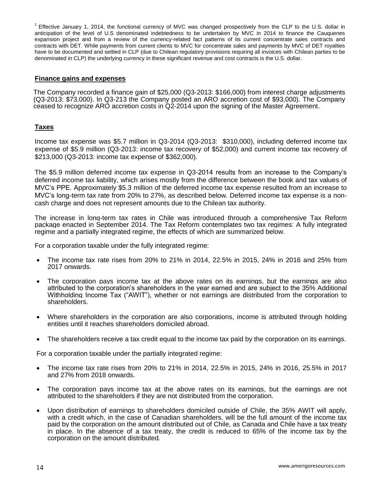$1$  Effective January 1, 2014, the functional currency of MVC was changed prospectively from the CLP to the U.S. dollar in anticipation of the level of U.S denominated indebtedness to be undertaken by MVC in 2014 to finance the Cauquenes expansion project and from a review of the currency-related fact patterns of its current concentrate sales contracts and contracts with DET. While payments from current clients to MVC for concentrate sales and payments by MVC of DET royalties have to be documented and settled in CLP (due to Chilean regulatory provisions requiring all invoices with Chilean parties to be denominated in CLP) the underlying currency in these significant revenue and cost contracts is the U.S. dollar.

### **Finance gains and expenses**

The Company recorded a finance gain of \$25,000 (Q3-2013: \$166,000) from interest charge adjustments (Q3-2013: \$73,000). In Q3-213 the Company posted an ARO accretion cost of \$93,000). The Company ceased to recognize ARO accretion costs in Q2-2014 upon the signing of the Master Agreement.

## **Taxes**

Income tax expense was \$5.7 million in Q3-2014 (Q3-2013: \$310,000), including deferred income tax expense of \$5.9 million (Q3-2013: income tax recovery of \$52,000) and current income tax recovery of \$213,000 (Q3-2013: income tax expense of \$362,000).

The \$5.9 million deferred income tax expense in Q3-2014 results from an increase to the Company's deferred income tax liability, which arises mostly from the difference between the book and tax values of MVC's PPE. Approximately \$5.3 million of the deferred income tax expense resulted from an increase to MVC's long-term tax rate from 20% to 27%, as described below. Deferred income tax expense is a noncash charge and does not represent amounts due to the Chilean tax authority.

The increase in long-term tax rates in Chile was introduced through a comprehensive Tax Reform package enacted in September 2014. The Tax Reform contemplates two tax regimes: A fully integrated regime and a partially integrated regime, the effects of which are summarized below.

For a corporation taxable under the fully integrated regime:

- The income tax rate rises from 20% to 21% in 2014, 22.5% in 2015, 24% in 2016 and 25% from 2017 onwards.
- The corporation pays income tax at the above rates on its earnings, but the earnings are also attributed to the corporation's shareholders in the year earned and are subject to the 35% Additional Withholding Income Tax ("AWIT"), whether or not earnings are distributed from the corporation to shareholders.
- Where shareholders in the corporation are also corporations, income is attributed through holding entities until it reaches shareholders domiciled abroad.
- The shareholders receive a tax credit equal to the income tax paid by the corporation on its earnings.

For a corporation taxable under the partially integrated regime:

- The income tax rate rises from 20% to 21% in 2014, 22.5% in 2015, 24% in 2016, 25.5% in 2017 and 27% from 2018 onwards.
- The corporation pays income tax at the above rates on its earnings, but the earnings are not attributed to the shareholders if they are not distributed from the corporation.
- Upon distribution of earnings to shareholders domiciled outside of Chile, the 35% AWIT will apply, with a credit which, in the case of Canadian shareholders, will be the full amount of the income tax paid by the corporation on the amount distributed out of Chile, as Canada and Chile have a tax treaty in place. In the absence of a tax treaty, the credit is reduced to 65% of the income tax by the corporation on the amount distributed.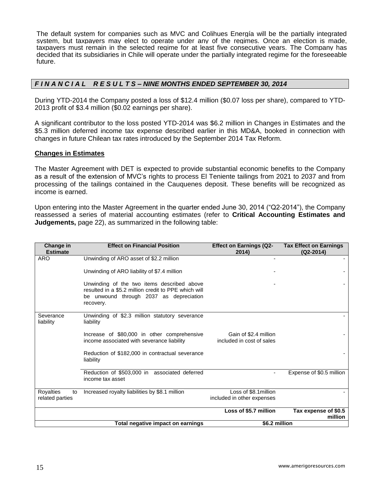The default system for companies such as MVC and Colihues Energía will be the partially integrated system, but taxpayers may elect to operate under any of the regimes. Once an election is made, taxpayers must remain in the selected regime for at least five consecutive years. The Company has decided that its subsidiaries in Chile will operate under the partially integrated regime for the foreseeable future.

## *F I N A N C I A L R E S U L T S – NINE MONTHS ENDED SEPTEMBER 30, 2014*

During YTD-2014 the Company posted a loss of \$12.4 million (\$0.07 loss per share), compared to YTD-2013 profit of \$3.4 million (\$0.02 earnings per share).

A significant contributor to the loss posted YTD-2014 was \$6.2 million in Changes in Estimates and the \$5.3 million deferred income tax expense described earlier in this MD&A, booked in connection with changes in future Chilean tax rates introduced by the September 2014 Tax Reform.

### **Changes in Estimates**

The Master Agreement with DET is expected to provide substantial economic benefits to the Company as a result of the extension of MVC's rights to process El Teniente tailings from 2021 to 2037 and from processing of the tailings contained in the Cauquenes deposit. These benefits will be recognized as income is earned.

Upon entering into the Master Agreement in the quarter ended June 30, 2014 ("Q2-2014"), the Company reassessed a series of material accounting estimates (refer to **Critical Accounting Estimates and Judgements,** page 22), as summarized in the following table:

| Change in<br><b>Estimate</b> | <b>Effect on Financial Position</b>                                                                                                                        | <b>Effect on Earnings (Q2-</b><br>2014)            | <b>Tax Effect on Earnings</b><br>$(Q2-2014)$ |
|------------------------------|------------------------------------------------------------------------------------------------------------------------------------------------------------|----------------------------------------------------|----------------------------------------------|
| <b>ARO</b>                   | Unwinding of ARO asset of \$2.2 million                                                                                                                    |                                                    |                                              |
|                              | Unwinding of ARO liability of \$7.4 million                                                                                                                |                                                    |                                              |
|                              | Unwinding of the two items described above<br>resulted in a \$5.2 million credit to PPE which will<br>be unwound through 2037 as depreciation<br>recovery. |                                                    |                                              |
| Severance<br>liability       | Unwinding of \$2.3 million statutory severance<br>liability                                                                                                |                                                    |                                              |
|                              | Increase of \$80,000 in other comprehensive<br>income associated with severance liability                                                                  | Gain of \$2.4 million<br>included in cost of sales |                                              |
|                              | Reduction of \$182,000 in contractual severance<br>liability                                                                                               |                                                    |                                              |
|                              | Reduction of \$503,000 in associated deferred<br>income tax asset                                                                                          |                                                    | Expense of \$0.5 million                     |
| Royalties<br>to              | Increased royalty liabilities by \$8.1 million                                                                                                             | Loss of \$8.1 million                              |                                              |
| related parties              |                                                                                                                                                            | included in other expenses                         |                                              |
|                              |                                                                                                                                                            | Loss of \$5.7 million                              | Tax expense of \$0.5<br>million              |
|                              | Total negative impact on earnings                                                                                                                          | \$6.2 million                                      |                                              |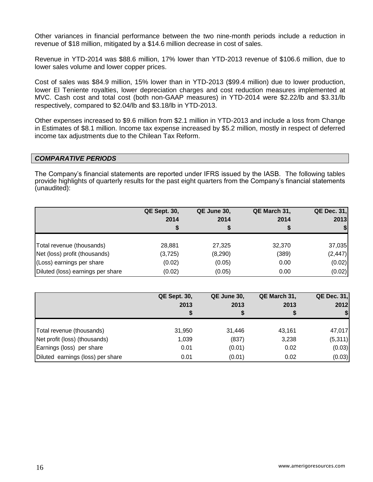Other variances in financial performance between the two nine-month periods include a reduction in revenue of \$18 million, mitigated by a \$14.6 million decrease in cost of sales.

Revenue in YTD-2014 was \$88.6 million, 17% lower than YTD-2013 revenue of \$106.6 million, due to lower sales volume and lower copper prices.

Cost of sales was \$84.9 million, 15% lower than in YTD-2013 (\$99.4 million) due to lower production, lower El Teniente royalties, lower depreciation charges and cost reduction measures implemented at MVC. Cash cost and total cost (both non-GAAP measures) in YTD-2014 were \$2.22/lb and \$3.31/lb respectively, compared to \$2.04/lb and \$3.18/lb in YTD-2013.

Other expenses increased to \$9.6 million from \$2.1 million in YTD-2013 and include a loss from Change in Estimates of \$8.1 million. Income tax expense increased by \$5.2 million, mostly in respect of deferred income tax adjustments due to the Chilean Tax Reform.

## *COMPARATIVE PERIODS*

The Company's financial statements are reported under IFRS issued by the IASB. The following tables provide highlights of quarterly results for the past eight quarters from the Company's financial statements (unaudited):

|                                   | <b>QE Sept. 30,</b><br>2014 | QE June 30,<br>2014 | QE March 31,<br>2014<br>S | <b>QE Dec. 31,</b><br>2013<br>$\frac{1}{2}$ |
|-----------------------------------|-----------------------------|---------------------|---------------------------|---------------------------------------------|
| Total revenue (thousands)         | 28,881                      | 27,325              | 32,370                    | 37,035                                      |
| Net (loss) profit (thousands)     | (3, 725)                    | (8, 290)            | (389)                     | (2, 447)                                    |
| (Loss) earnings per share         | (0.02)                      | (0.05)              | 0.00                      | (0.02)                                      |
| Diluted (loss) earnings per share | (0.02)                      | (0.05)              | 0.00                      | (0.02)                                      |

|                                   | <b>QE Sept. 30,</b><br>2013 | QE June 30,<br>2013 | QE March 31,<br>2013<br>\$ | <b>QE Dec. 31,</b><br>2012<br>\$ |
|-----------------------------------|-----------------------------|---------------------|----------------------------|----------------------------------|
|                                   |                             |                     |                            |                                  |
| Total revenue (thousands)         | 31,950                      | 31,446              | 43,161                     | 47,017                           |
| Net profit (loss) (thousands)     | 1,039                       | (837)               | 3,238                      | (5, 311)                         |
| Earnings (loss) per share         | 0.01                        | (0.01)              | 0.02                       | (0.03)                           |
| Diluted earnings (loss) per share | 0.01                        | (0.01)              | 0.02                       | (0.03)                           |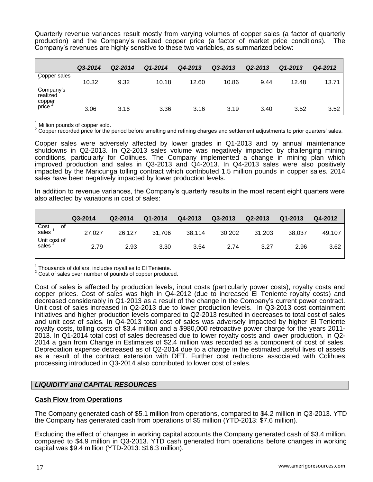Quarterly revenue variances result mostly from varying volumes of copper sales (a factor of quarterly production) and the Company's realized copper price (a factor of market price conditions). The Company's revenues are highly sensitive to these two variables, as summarized below:

|                                          | Q3-2014 | Q2-2014 | Q1-2014 | Q4-2013 | Q3-2013 | Q2-2013 | Q1-2013 | Q4-2012 |
|------------------------------------------|---------|---------|---------|---------|---------|---------|---------|---------|
| Copper sales                             | 10.32   | 9.32    | 10.18   | 12.60   | 10.86   | 9.44    | 12.48   | 13.71   |
| Company's<br>realized<br>cobbel<br>price | 3.06    | 3.16    | 3.36    | 3.16    | 3.19    | 3.40    | 3.52    | 3.52    |

 $1$  Million pounds of copper sold.

<sup>2</sup> Copper recorded price for the period before smelting and refining charges and settlement adjustments to prior quarters' sales.

Copper sales were adversely affected by lower grades in Q1-2013 and by annual maintenance shutdowns in Q2-2013. In Q2-2013 sales volume was negatively impacted by challenging mining conditions, particularly for Colihues. The Company implemented a change in mining plan which improved production and sales in Q3-2013 and Q4-2013. In Q4-2013 sales were also positively impacted by the Maricunga tolling contract which contributed 1.5 million pounds in copper sales. 2014 sales have been negatively impacted by lower production levels.

In addition to revenue variances, the Company's quarterly results in the most recent eight quarters were also affected by variations in cost of sales:

|                                    | Q3-2014 | Q2-2014 | Q1-2014 | Q4-2013 | Q3-2013 | Q2-2013 | Q1-2013 | Q4-2012 |
|------------------------------------|---------|---------|---------|---------|---------|---------|---------|---------|
| Cost<br>sales<br>0t                | 27,027  | 26.127  | 31.706  | 38,114  | 30.202  | 31.203  | 38.037  | 49,107  |
| Unit cost of<br>sales <sup>2</sup> | 2.79    | 2.93    | 3.30    | 3.54    | 2.74    | 3.27    | 2.96    | 3.62    |

 $\frac{1}{6}$  Thousands of dollars, includes royalties to El Teniente.

<sup>2</sup> Cost of sales over number of pounds of copper produced.

Cost of sales is affected by production levels, input costs (particularly power costs), royalty costs and copper prices. Cost of sales was high in Q4-2012 (due to increased El Teniente royalty costs) and decreased considerably in Q1-2013 as a result of the change in the Company's current power contract. Unit cost of sales increased in Q2-2013 due to lower production levels. In Q3-2013 cost containment initiatives and higher production levels compared to Q2-2013 resulted in decreases to total cost of sales and unit cost of sales. In Q4-2013 total cost of sales was adversely impacted by higher El Teniente royalty costs, tolling costs of \$3.4 million and a \$980,000 retroactive power charge for the years 2011- 2013. In Q1-2014 total cost of sales decreased due to lower royalty costs and lower production. In Q2- 2014 a gain from Change in Estimates of \$2.4 million was recorded as a component of cost of sales. Depreciation expense decreased as of Q2-2014 due to a change in the estimated useful lives of assets as a result of the contract extension with DET. Further cost reductions associated with Colihues processing introduced in Q3-2014 also contributed to lower cost of sales.

# *LIQUIDITY and CAPITAL RESOURCES*

### **Cash Flow from Operations**

The Company generated cash of \$5.1 million from operations, compared to \$4.2 million in Q3-2013. YTD the Company has generated cash from operations of \$5 million (YTD-2013: \$7.6 million).

Excluding the effect of changes in working capital accounts the Company generated cash of \$3.4 million, compared to \$4.9 million in Q3-2013. YTD cash generated from operations before changes in working capital was \$9.4 million (YTD-2013: \$16.3 million).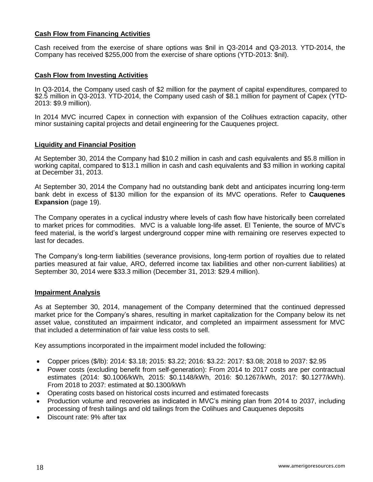# **Cash Flow from Financing Activities**

Cash received from the exercise of share options was \$nil in Q3-2014 and Q3-2013. YTD-2014, the Company has received \$255,000 from the exercise of share options (YTD-2013: \$nil).

## **Cash Flow from Investing Activities**

In Q3-2014, the Company used cash of \$2 million for the payment of capital expenditures, compared to \$2.5 million in Q3-2013. YTD-2014, the Company used cash of \$8.1 million for payment of Capex (YTD-2013: \$9.9 million).

In 2014 MVC incurred Capex in connection with expansion of the Colihues extraction capacity, other minor sustaining capital projects and detail engineering for the Cauquenes project.

### **Liquidity and Financial Position**

At September 30, 2014 the Company had \$10.2 million in cash and cash equivalents and \$5.8 million in working capital, compared to \$13.1 million in cash and cash equivalents and \$3 million in working capital at December 31, 2013.

At September 30, 2014 the Company had no outstanding bank debt and anticipates incurring long-term bank debt in excess of \$130 million for the expansion of its MVC operations. Refer to **Cauquenes Expansion** (page 19).

The Company operates in a cyclical industry where levels of cash flow have historically been correlated to market prices for commodities. MVC is a valuable long-life asset. El Teniente, the source of MVC's feed material, is the world's largest underground copper mine with remaining ore reserves expected to last for decades.

The Company's long-term liabilities (severance provisions, long-term portion of royalties due to related parties measured at fair value, ARO, deferred income tax liabilities and other non-current liabilities) at September 30, 2014 were \$33.3 million (December 31, 2013: \$29.4 million).

### **Impairment Analysis**

As at September 30, 2014, management of the Company determined that the continued depressed market price for the Company's shares, resulting in market capitalization for the Company below its net asset value, constituted an impairment indicator, and completed an impairment assessment for MVC that included a determination of fair value less costs to sell.

Key assumptions incorporated in the impairment model included the following:

- Copper prices (\$/lb): 2014: \$3.18; 2015: \$3.22; 2016: \$3.22: 2017: \$3.08; 2018 to 2037: \$2.95
- Power costs (excluding benefit from self-generation): From 2014 to 2017 costs are per contractual estimates (2014: \$0.1006/kWh, 2015: \$0.1148/kWh, 2016: \$0.1267/kWh, 2017: \$0.1277/kWh). From 2018 to 2037: estimated at \$0.1300/kWh
- Operating costs based on historical costs incurred and estimated forecasts
- Production volume and recoveries as indicated in MVC's mining plan from 2014 to 2037, including processing of fresh tailings and old tailings from the Colihues and Cauquenes deposits
- Discount rate: 9% after tax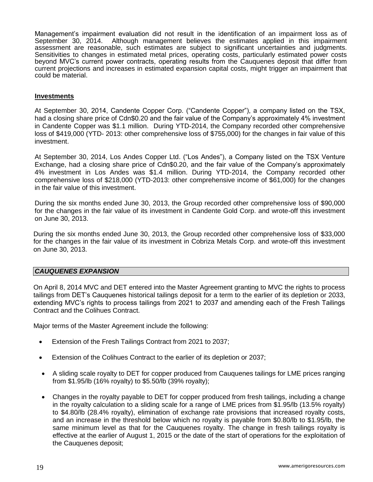Management's impairment evaluation did not result in the identification of an impairment loss as of September 30, 2014. Although management believes the estimates applied in this impairment assessment are reasonable, such estimates are subject to significant uncertainties and judgments. Sensitivities to changes in estimated metal prices, operating costs, particularly estimated power costs beyond MVC's current power contracts, operating results from the Cauquenes deposit that differ from current projections and increases in estimated expansion capital costs, might trigger an impairment that could be material.

## **Investments**

At September 30, 2014, Candente Copper Corp. ("Candente Copper"), a company listed on the TSX, had a closing share price of Cdn\$0.20 and the fair value of the Company's approximately 4% investment in Candente Copper was \$1.1 million. During YTD-2014, the Company recorded other comprehensive loss of \$419,000 (YTD- 2013: other comprehensive loss of \$755,000) for the changes in fair value of this investment.

At September 30, 2014, Los Andes Copper Ltd. ("Los Andes"), a Company listed on the TSX Venture Exchange, had a closing share price of Cdn\$0.20, and the fair value of the Company's approximately 4% investment in Los Andes was \$1.4 million. During YTD-2014, the Company recorded other comprehensive loss of \$218,000 (YTD-2013: other comprehensive income of \$61,000) for the changes in the fair value of this investment.

During the six months ended June 30, 2013, the Group recorded other comprehensive loss of \$90,000 for the changes in the fair value of its investment in Candente Gold Corp. and wrote-off this investment on June 30, 2013.

During the six months ended June 30, 2013, the Group recorded other comprehensive loss of \$33,000 for the changes in the fair value of its investment in Cobriza Metals Corp. and wrote-off this investment on June 30, 2013.

### *CAUQUENES EXPANSION*

On April 8, 2014 MVC and DET entered into the Master Agreement granting to MVC the rights to process tailings from DET's Cauquenes historical tailings deposit for a term to the earlier of its depletion or 2033, extending MVC's rights to process tailings from 2021 to 2037 and amending each of the Fresh Tailings Contract and the Colihues Contract.

Major terms of the Master Agreement include the following:

- Extension of the Fresh Tailings Contract from 2021 to 2037;
- Extension of the Colihues Contract to the earlier of its depletion or 2037;
- A sliding scale royalty to DET for copper produced from Cauquenes tailings for LME prices ranging from \$1.95/lb (16% royalty) to \$5.50/lb (39% royalty);
- Changes in the royalty payable to DET for copper produced from fresh tailings, including a change in the royalty calculation to a sliding scale for a range of LME prices from \$1.95/lb (13.5% royalty) to \$4.80/lb (28.4% royalty), elimination of exchange rate provisions that increased royalty costs, and an increase in the threshold below which no royalty is payable from \$0.80/lb to \$1.95/lb, the same minimum level as that for the Cauquenes royalty. The change in fresh tailings royalty is effective at the earlier of August 1, 2015 or the date of the start of operations for the exploitation of the Cauquenes deposit;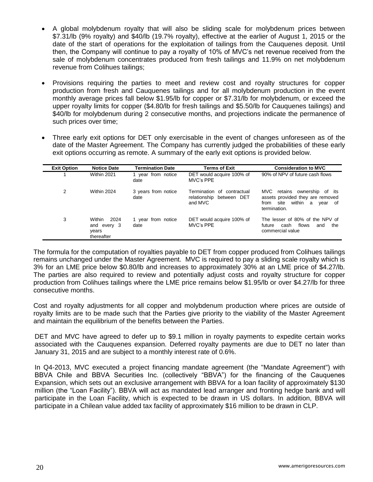- A global molybdenum royalty that will also be sliding scale for molybdenum prices between \$7.31/lb (9% royalty) and \$40/lb (19.7% royalty), effective at the earlier of August 1, 2015 or the date of the start of operations for the exploitation of tailings from the Cauquenes deposit. Until then, the Company will continue to pay a royalty of 10% of MVC's net revenue received from the sale of molybdenum concentrates produced from fresh tailings and 11.9% on net molybdenum revenue from Colihues tailings;
- Provisions requiring the parties to meet and review cost and royalty structures for copper production from fresh and Cauquenes tailings and for all molybdenum production in the event monthly average prices fall below \$1.95/lb for copper or \$7.31/lb for molybdenum, or exceed the upper royalty limits for copper (\$4.80/lb for fresh tailings and \$5.50/lb for Cauquenes tailings) and \$40/lb for molybdenum during 2 consecutive months, and projections indicate the permanence of such prices over time;
- Three early exit options for DET only exercisable in the event of changes unforeseen as of the date of the Master Agreement. The Company has currently judged the probabilities of these early exit options occurring as remote. A summary of the early exit options is provided below.

| <b>Exit Option</b> | <b>Notice Date</b>                                   | <b>Termination Date</b>     | <b>Terms of Exit</b>                                              | <b>Consideration to MVC</b>                                                                                                |
|--------------------|------------------------------------------------------|-----------------------------|-------------------------------------------------------------------|----------------------------------------------------------------------------------------------------------------------------|
|                    | Within 2021                                          | 1 year from notice<br>date  | DET would acquire 100% of<br>MVC's PPE                            | 90% of NPV of future cash flows                                                                                            |
| 2                  | Within 2024                                          | 3 years from notice<br>date | Termination of contractual<br>relationship between DET<br>and MVC | MVC retains ownership of its<br>assets provided they are removed<br>within<br>site<br>a<br>from<br>vear of<br>termination. |
| 3                  | 2024<br>Within<br>and every 3<br>years<br>thereafter | 1 year from notice<br>date  | DET would acquire 100% of<br>MVC's PPE                            | The lesser of 80% of the NPV of<br>flows<br>future<br>cash<br>the<br>and<br>commercial value                               |

The formula for the computation of royalties payable to DET from copper produced from Colihues tailings remains unchanged under the Master Agreement. MVC is required to pay a sliding scale royalty which is 3% for an LME price below \$0.80/lb and increases to approximately 30% at an LME price of \$4.27/lb. The parties are also required to review and potentially adjust costs and royalty structure for copper production from Colihues tailings where the LME price remains below \$1.95/lb or over \$4.27/lb for three consecutive months.

Cost and royalty adjustments for all copper and molybdenum production where prices are outside of royalty limits are to be made such that the Parties give priority to the viability of the Master Agreement and maintain the equilibrium of the benefits between the Parties.

DET and MVC have agreed to defer up to \$9.1 million in royalty payments to expedite certain works associated with the Cauquenes expansion. Deferred royalty payments are due to DET no later than January 31, 2015 and are subject to a monthly interest rate of 0.6%.

In Q4-2013, MVC executed a project financing mandate agreement (the "Mandate Agreement") with BBVA Chile and BBVA Securities Inc. (collectively "BBVA") for the financing of the Cauquenes Expansion, which sets out an exclusive arrangement with BBVA for a loan facility of approximately \$130 million (the "Loan Facility"). BBVA will act as mandated lead arranger and fronting hedge bank and will participate in the Loan Facility, which is expected to be drawn in US dollars. In addition, BBVA will participate in a Chilean value added tax facility of approximately \$16 million to be drawn in CLP.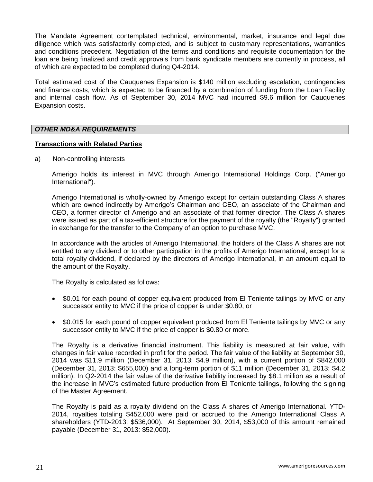The Mandate Agreement contemplated technical, environmental, market, insurance and legal due diligence which was satisfactorily completed, and is subject to customary representations, warranties and conditions precedent. Negotiation of the terms and conditions and requisite documentation for the loan are being finalized and credit approvals from bank syndicate members are currently in process, all of which are expected to be completed during Q4-2014.

Total estimated cost of the Cauquenes Expansion is \$140 million excluding escalation, contingencies and finance costs, which is expected to be financed by a combination of funding from the Loan Facility and internal cash flow. As of September 30, 2014 MVC had incurred \$9.6 million for Cauquenes Expansion costs.

## *OTHER MD&A REQUIREMENTS*

### **Transactions with Related Parties**

a) Non-controlling interests

Amerigo holds its interest in MVC through Amerigo International Holdings Corp. ("Amerigo International").

Amerigo International is wholly-owned by Amerigo except for certain outstanding Class A shares which are owned indirectly by Amerigo's Chairman and CEO, an associate of the Chairman and CEO, a former director of Amerigo and an associate of that former director. The Class A shares were issued as part of a tax-efficient structure for the payment of the royalty (the "Royalty") granted in exchange for the transfer to the Company of an option to purchase MVC.

In accordance with the articles of Amerigo International, the holders of the Class A shares are not entitled to any dividend or to other participation in the profits of Amerigo International, except for a total royalty dividend, if declared by the directors of Amerigo International, in an amount equal to the amount of the Royalty.

The Royalty is calculated as follows:

- \$0.01 for each pound of copper equivalent produced from El Teniente tailings by MVC or any successor entity to MVC if the price of copper is under \$0.80, or
- \$0.015 for each pound of copper equivalent produced from El Teniente tailings by MVC or any successor entity to MVC if the price of copper is \$0.80 or more.

The Royalty is a derivative financial instrument. This liability is measured at fair value, with changes in fair value recorded in profit for the period. The fair value of the liability at September 30, 2014 was \$11.9 million (December 31, 2013: \$4.9 million), with a current portion of \$842,000 (December 31, 2013: \$655,000) and a long-term portion of \$11 million (December 31, 2013: \$4.2 million). In Q2-2014 the fair value of the derivative liability increased by \$8.1 million as a result of the increase in MVC's estimated future production from El Teniente tailings, following the signing of the Master Agreement.

The Royalty is paid as a royalty dividend on the Class A shares of Amerigo International. YTD-2014, royalties totaling \$452,000 were paid or accrued to the Amerigo International Class A shareholders (YTD-2013: \$536,000). At September 30, 2014, \$53,000 of this amount remained payable (December 31, 2013: \$52,000).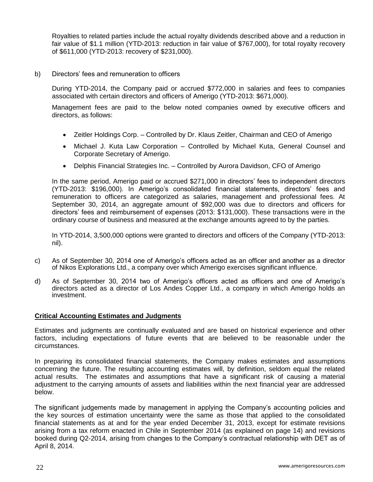Royalties to related parties include the actual royalty dividends described above and a reduction in fair value of \$1.1 million (YTD-2013: reduction in fair value of \$767,000), for total royalty recovery of \$611,000 (YTD-2013: recovery of \$231,000).

b) Directors' fees and remuneration to officers

During YTD-2014, the Company paid or accrued \$772,000 in salaries and fees to companies associated with certain directors and officers of Amerigo (YTD-2013: \$671,000).

Management fees are paid to the below noted companies owned by executive officers and directors, as follows:

- Zeitler Holdings Corp. Controlled by Dr. Klaus Zeitler, Chairman and CEO of Amerigo
- Michael J. Kuta Law Corporation Controlled by Michael Kuta, General Counsel and Corporate Secretary of Amerigo.
- Delphis Financial Strategies Inc. Controlled by Aurora Davidson, CFO of Amerigo

In the same period, Amerigo paid or accrued \$271,000 in directors' fees to independent directors (YTD-2013: \$196,000). In Amerigo's consolidated financial statements, directors' fees and remuneration to officers are categorized as salaries, management and professional fees. At September 30, 2014, an aggregate amount of \$92,000 was due to directors and officers for directors' fees and reimbursement of expenses (2013: \$131,000). These transactions were in the ordinary course of business and measured at the exchange amounts agreed to by the parties.

In YTD-2014, 3,500,000 options were granted to directors and officers of the Company (YTD-2013: nil).

- c) As of September 30, 2014 one of Amerigo's officers acted as an officer and another as a director of Nikos Explorations Ltd., a company over which Amerigo exercises significant influence.
- d) As of September 30, 2014 two of Amerigo's officers acted as officers and one of Amerigo's directors acted as a director of Los Andes Copper Ltd., a company in which Amerigo holds an investment.

### **Critical Accounting Estimates and Judgments**

Estimates and judgments are continually evaluated and are based on historical experience and other factors, including expectations of future events that are believed to be reasonable under the circumstances.

In preparing its consolidated financial statements, the Company makes estimates and assumptions concerning the future. The resulting accounting estimates will, by definition, seldom equal the related actual results. The estimates and assumptions that have a significant risk of causing a material adjustment to the carrying amounts of assets and liabilities within the next financial year are addressed below.

The significant judgements made by management in applying the Company's accounting policies and the key sources of estimation uncertainty were the same as those that applied to the consolidated financial statements as at and for the year ended December 31, 2013, except for estimate revisions arising from a tax reform enacted in Chile in September 2014 (as explained on page 14) and revisions booked during Q2-2014, arising from changes to the Company's contractual relationship with DET as of April 8, 2014.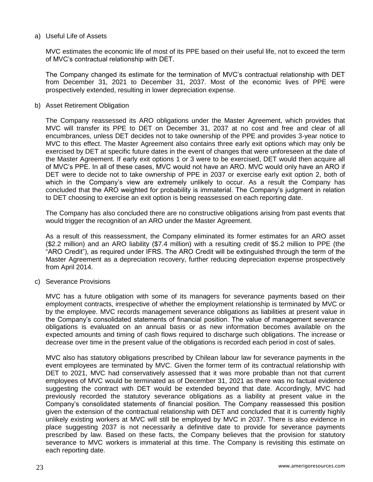## a) Useful Life of Assets

MVC estimates the economic life of most of its PPE based on their useful life, not to exceed the term of MVC's contractual relationship with DET.

The Company changed its estimate for the termination of MVC's contractual relationship with DET from December 31, 2021 to December 31, 2037. Most of the economic lives of PPE were prospectively extended, resulting in lower depreciation expense.

b) Asset Retirement Obligation

The Company reassessed its ARO obligations under the Master Agreement, which provides that MVC will transfer its PPE to DET on December 31, 2037 at no cost and free and clear of all encumbrances, unless DET decides not to take ownership of the PPE and provides 3-year notice to MVC to this effect. The Master Agreement also contains three early exit options which may only be exercised by DET at specific future dates in the event of changes that were unforeseen at the date of the Master Agreement. If early exit options 1 or 3 were to be exercised, DET would then acquire all of MVC's PPE. In all of these cases, MVC would not have an ARO. MVC would only have an ARO if DET were to decide not to take ownership of PPE in 2037 or exercise early exit option 2, both of which in the Company's view are extremely unlikely to occur. As a result the Company has concluded that the ARO weighted for probability is immaterial. The Company's judgment in relation to DET choosing to exercise an exit option is being reassessed on each reporting date.

The Company has also concluded there are no constructive obligations arising from past events that would trigger the recognition of an ARO under the Master Agreement.

As a result of this reassessment, the Company eliminated its former estimates for an ARO asset (\$2.2 million) and an ARO liability (\$7.4 million) with a resulting credit of \$5.2 million to PPE (the "ARO Credit"), as required under IFRS. The ARO Credit will be extinguished through the term of the Master Agreement as a depreciation recovery, further reducing depreciation expense prospectively from April 2014.

c) Severance Provisions

MVC has a future obligation with some of its managers for severance payments based on their employment contracts, irrespective of whether the employment relationship is terminated by MVC or by the employee. MVC records management severance obligations as liabilities at present value in the Company's consolidated statements of financial position. The value of management severance obligations is evaluated on an annual basis or as new information becomes available on the expected amounts and timing of cash flows required to discharge such obligations. The increase or decrease over time in the present value of the obligations is recorded each period in cost of sales.

MVC also has statutory obligations prescribed by Chilean labour law for severance payments in the event employees are terminated by MVC. Given the former term of its contractual relationship with DET to 2021, MVC had conservatively assessed that it was more probable than not that current employees of MVC would be terminated as of December 31, 2021 as there was no factual evidence suggesting the contract with DET would be extended beyond that date. Accordingly, MVC had previously recorded the statutory severance obligations as a liability at present value in the Company's consolidated statements of financial position. The Company reassessed this position given the extension of the contractual relationship with DET and concluded that it is currently highly unlikely existing workers at MVC will still be employed by MVC in 2037. There is also evidence in place suggesting 2037 is not necessarily a definitive date to provide for severance payments prescribed by law. Based on these facts, the Company believes that the provision for statutory severance to MVC workers is immaterial at this time. The Company is revisiting this estimate on each reporting date.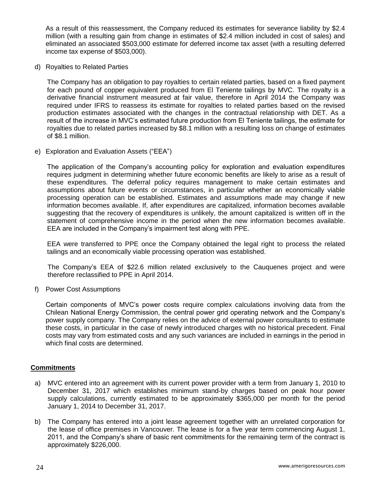As a result of this reassessment, the Company reduced its estimates for severance liability by \$2.4 million (with a resulting gain from change in estimates of \$2.4 million included in cost of sales) and eliminated an associated \$503,000 estimate for deferred income tax asset (with a resulting deferred income tax expense of \$503,000).

d) Royalties to Related Parties

The Company has an obligation to pay royalties to certain related parties, based on a fixed payment for each pound of copper equivalent produced from El Teniente tailings by MVC. The royalty is a derivative financial instrument measured at fair value, therefore in April 2014 the Company was required under IFRS to reassess its estimate for royalties to related parties based on the revised production estimates associated with the changes in the contractual relationship with DET. As a result of the increase in MVC's estimated future production from El Teniente tailings, the estimate for royalties due to related parties increased by \$8.1 million with a resulting loss on change of estimates of \$8.1 million.

e) Exploration and Evaluation Assets ("EEA")

The application of the Company's accounting policy for exploration and evaluation expenditures requires judgment in determining whether future economic benefits are likely to arise as a result of these expenditures. The deferral policy requires management to make certain estimates and assumptions about future events or circumstances, in particular whether an economically viable processing operation can be established. Estimates and assumptions made may change if new information becomes available. If, after expenditures are capitalized, information becomes available suggesting that the recovery of expenditures is unlikely, the amount capitalized is written off in the statement of comprehensive income in the period when the new information becomes available. EEA are included in the Company's impairment test along with PPE.

EEA were transferred to PPE once the Company obtained the legal right to process the related tailings and an economically viable processing operation was established.

The Company's EEA of \$22.6 million related exclusively to the Cauquenes project and were therefore reclassified to PPE in April 2014.

f) Power Cost Assumptions

Certain components of MVC's power costs require complex calculations involving data from the Chilean National Energy Commission, the central power grid operating network and the Company's power supply company. The Company relies on the advice of external power consultants to estimate these costs, in particular in the case of newly introduced charges with no historical precedent. Final costs may vary from estimated costs and any such variances are included in earnings in the period in which final costs are determined.

# **Commitments**

- a) MVC entered into an agreement with its current power provider with a term from January 1, 2010 to December 31, 2017 which establishes minimum stand-by charges based on peak hour power supply calculations, currently estimated to be approximately \$365,000 per month for the period January 1, 2014 to December 31, 2017.
- b) The Company has entered into a joint lease agreement together with an unrelated corporation for the lease of office premises in Vancouver. The lease is for a five year term commencing August 1, 2011, and the Company's share of basic rent commitments for the remaining term of the contract is approximately \$226,000.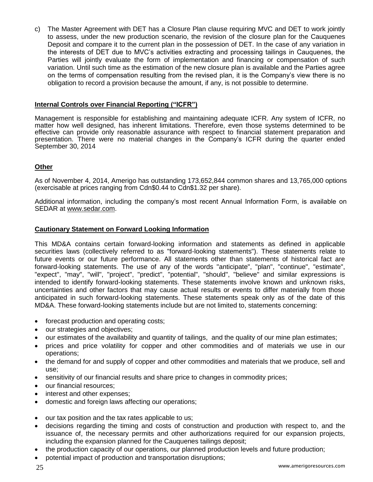c) The Master Agreement with DET has a Closure Plan clause requiring MVC and DET to work jointly to assess, under the new production scenario, the revision of the closure plan for the Cauquenes Deposit and compare it to the current plan in the possession of DET. In the case of any variation in the interests of DET due to MVC's activities extracting and processing tailings in Cauquenes, the Parties will jointly evaluate the form of implementation and financing or compensation of such variation. Until such time as the estimation of the new closure plan is available and the Parties agree on the terms of compensation resulting from the revised plan, it is the Company's view there is no obligation to record a provision because the amount, if any, is not possible to determine.

## **Internal Controls over Financial Reporting ("ICFR")**

Management is responsible for establishing and maintaining adequate ICFR. Any system of ICFR, no matter how well designed, has inherent limitations. Therefore, even those systems determined to be effective can provide only reasonable assurance with respect to financial statement preparation and presentation. There were no material changes in the Company's ICFR during the quarter ended September 30, 2014

## **Other**

As of November 4, 2014, Amerigo has outstanding 173,652,844 common shares and 13,765,000 options (exercisable at prices ranging from Cdn\$0.44 to Cdn\$1.32 per share).

Additional information, including the company's most recent Annual Information Form, is available on SEDAR at [www.sedar.com.](http://www.sedar.com/)

## **Cautionary Statement on Forward Looking Information**

This MD&A contains certain forward-looking information and statements as defined in applicable securities laws (collectively referred to as "forward-looking statements"). These statements relate to future events or our future performance. All statements other than statements of historical fact are forward-looking statements. The use of any of the words "anticipate", "plan", "continue", "estimate", "expect", "may", "will", "project", "predict", "potential", "should", "believe" and similar expressions is intended to identify forward-looking statements. These statements involve known and unknown risks, uncertainties and other factors that may cause actual results or events to differ materially from those anticipated in such forward-looking statements. These statements speak only as of the date of this MD&A. These forward-looking statements include but are not limited to, statements concerning:

- forecast production and operating costs;
- our strategies and objectives;
- our estimates of the availability and quantity of tailings, and the quality of our mine plan estimates;
- prices and price volatility for copper and other commodities and of materials we use in our operations;
- the demand for and supply of copper and other commodities and materials that we produce, sell and use;
- sensitivity of our financial results and share price to changes in commodity prices;
- our financial resources;
- interest and other expenses;
- domestic and foreign laws affecting our operations;
- our tax position and the tax rates applicable to us;
- decisions regarding the timing and costs of construction and production with respect to, and the issuance of, the necessary permits and other authorizations required for our expansion projects, including the expansion planned for the Cauquenes tailings deposit;
- the production capacity of our operations, our planned production levels and future production;
- potential impact of production and transportation disruptions;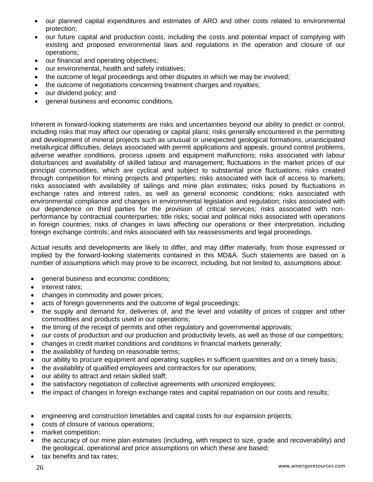- our planned capital expenditures and estimates of ARO and other costs related to environmental protection;
- our future capital and production costs, including the costs and potential impact of complying with existing and proposed environmental laws and regulations in the operation and closure of our operations;
- our financial and operating objectives;
- our environmental, health and safety initiatives;
- the outcome of legal proceedings and other disputes in which we may be involved;
- the outcome of negotiations concerning treatment charges and royalties:
- our dividend policy; and
- **•** general business and economic conditions.

Inherent in forward-looking statements are risks and uncertainties beyond our ability to predict or control, including risks that may affect our operating or capital plans; risks generally encountered in the permitting and development of mineral projects such as unusual or unexpected geological formations, unanticipated metallurgical difficulties, delays associated with permit applications and appeals, ground control problems, adverse weather conditions, process upsets and equipment malfunctions; risks associated with labour disturbances and availability of skilled labour and management; fluctuations in the market prices of our principal commodities, which are cyclical and subject to substantial price fluctuations; risks created through competition for mining projects and properties; risks associated with lack of access to markets; risks associated with availability of tailings and mine plan estimates; risks posed by fluctuations in exchange rates and interest rates, as well as general economic conditions; risks associated with environmental compliance and changes in environmental legislation and regulation; risks associated with our dependence on third parties for the provision of critical services; risks associated with nonperformance by contractual counterparties; title risks; social and political risks associated with operations in foreign countries; risks of changes in laws affecting our operations or their interpretation, including foreign exchange controls; and risks associated with tax reassessments and legal proceedings.

Actual results and developments are likely to differ, and may differ materially, from those expressed or implied by the forward-looking statements contained in this MD&A. Such statements are based on a number of assumptions which may prove to be incorrect, including, but not limited to, assumptions about:

- general business and economic conditions;
- interest rates;
- changes in commodity and power prices;
- acts of foreign governments and the outcome of legal proceedings;
- the supply and demand for, deliveries of, and the level and volatility of prices of copper and other commodities and products used in our operations;
- the timing of the receipt of permits and other regulatory and governmental approvals;
- our costs of production and our production and productivity levels, as well as those of our competitors;
- changes in credit market conditions and conditions in financial markets generally;
- the availability of funding on reasonable terms;
- our ability to procure equipment and operating supplies in sufficient quantities and on a timely basis;
- the availability of qualified employees and contractors for our operations;
- our ability to attract and retain skilled staff:
- the satisfactory negotiation of collective agreements with unionized employees;
- the impact of changes in foreign exchange rates and capital repatriation on our costs and results;
- engineering and construction timetables and capital costs for our expansion projects;
- costs of closure of various operations;
- market competition;
- the accuracy of our mine plan estimates (including, with respect to size, grade and recoverability) and the geological, operational and price assumptions on which these are based;
- tax benefits and tax rates;